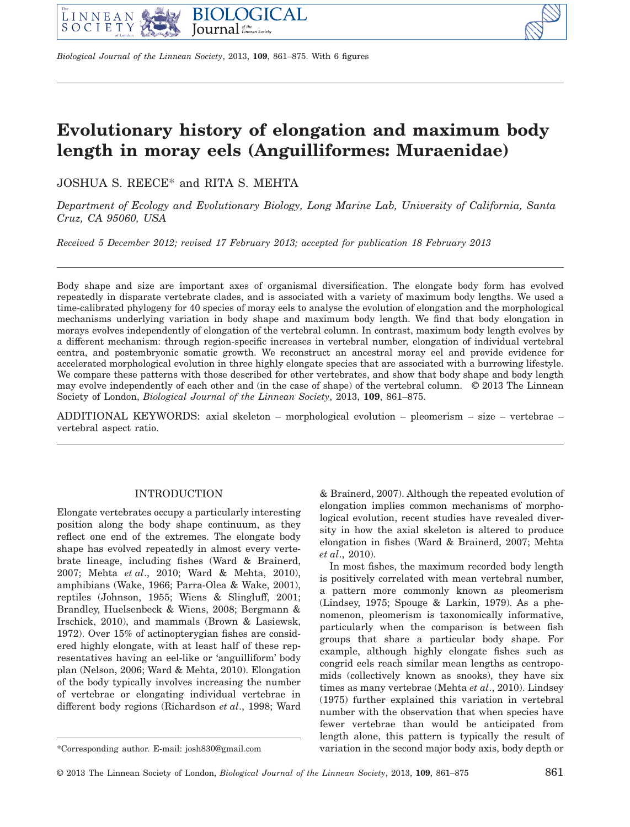



# **Evolutionary history of elongation and maximum body length in moray eels (Anguilliformes: Muraenidae)**

JOSHUA S. REECE\* and RITA S. MEHTA

*Department of Ecology and Evolutionary Biology, Long Marine Lab, University of California, Santa Cruz, CA 95060, USA*

*Received 5 December 2012; revised 17 February 2013; accepted for publication 18 February 2013*

Body shape and size are important axes of organismal diversification. The elongate body form has evolved repeatedly in disparate vertebrate clades, and is associated with a variety of maximum body lengths. We used a time-calibrated phylogeny for 40 species of moray eels to analyse the evolution of elongation and the morphological mechanisms underlying variation in body shape and maximum body length. We find that body elongation in morays evolves independently of elongation of the vertebral column. In contrast, maximum body length evolves by a different mechanism: through region-specific increases in vertebral number, elongation of individual vertebral centra, and postembryonic somatic growth. We reconstruct an ancestral moray eel and provide evidence for accelerated morphological evolution in three highly elongate species that are associated with a burrowing lifestyle. We compare these patterns with those described for other vertebrates, and show that body shape and body length may evolve independently of each other and (in the case of shape) of the vertebral column. © 2013 The Linnean Society of London, *Biological Journal of the Linnean Society*, 2013, **109**, 861–875.

ADDITIONAL KEYWORDS: axial skeleton – morphological evolution – pleomerism – size – vertebrae – vertebral aspect ratio.

# INTRODUCTION

Elongate vertebrates occupy a particularly interesting position along the body shape continuum, as they reflect one end of the extremes. The elongate body shape has evolved repeatedly in almost every vertebrate lineage, including fishes (Ward & Brainerd, 2007; Mehta *et al*., 2010; Ward & Mehta, 2010), amphibians (Wake, 1966; Parra-Olea & Wake, 2001), reptiles (Johnson, 1955; Wiens & Slingluff, 2001; Brandley, Huelsenbeck & Wiens, 2008; Bergmann & Irschick, 2010), and mammals (Brown & Lasiewsk, 1972). Over 15% of actinopterygian fishes are considered highly elongate, with at least half of these representatives having an eel-like or 'anguilliform' body plan (Nelson, 2006; Ward & Mehta, 2010). Elongation of the body typically involves increasing the number of vertebrae or elongating individual vertebrae in different body regions (Richardson *et al*., 1998; Ward & Brainerd, 2007). Although the repeated evolution of elongation implies common mechanisms of morphological evolution, recent studies have revealed diversity in how the axial skeleton is altered to produce elongation in fishes (Ward & Brainerd, 2007; Mehta *et al*., 2010).

In most fishes, the maximum recorded body length is positively correlated with mean vertebral number, a pattern more commonly known as pleomerism (Lindsey, 1975; Spouge & Larkin, 1979). As a phenomenon, pleomerism is taxonomically informative, particularly when the comparison is between fish groups that share a particular body shape. For example, although highly elongate fishes such as congrid eels reach similar mean lengths as centropomids (collectively known as snooks), they have six times as many vertebrae (Mehta *et al*., 2010). Lindsey (1975) further explained this variation in vertebral number with the observation that when species have fewer vertebrae than would be anticipated from length alone, this pattern is typically the result of \*Corresponding author. E-mail: josh830@gmail.com variation in the second major body axis, body depth or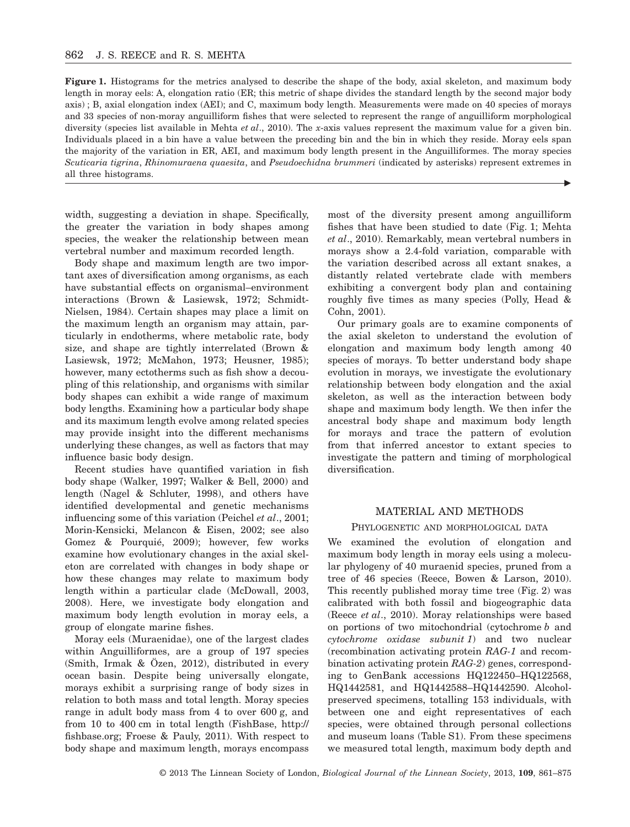**Figure 1.** Histograms for the metrics analysed to describe the shape of the body, axial skeleton, and maximum body length in moray eels: A, elongation ratio (ER; this metric of shape divides the standard length by the second major body axis) ; B, axial elongation index (AEI); and C, maximum body length. Measurements were made on 40 species of morays and 33 species of non-moray anguilliform fishes that were selected to represent the range of anguilliform morphological diversity (species list available in Mehta *et al*., 2010). The *x*-axis values represent the maximum value for a given bin. Individuals placed in a bin have a value between the preceding bin and the bin in which they reside. Moray eels span the majority of the variation in ER, AEI, and maximum body length present in the Anguilliformes. The moray species *Scuticaria tigrina*, *Rhinomuraena quaesita*, and *Pseudoechidna brummeri* (indicated by asterisks) represent extremes in all three histograms.

width, suggesting a deviation in shape. Specifically, the greater the variation in body shapes among species, the weaker the relationship between mean vertebral number and maximum recorded length.

Body shape and maximum length are two important axes of diversification among organisms, as each have substantial effects on organismal–environment interactions (Brown & Lasiewsk, 1972; Schmidt-Nielsen, 1984). Certain shapes may place a limit on the maximum length an organism may attain, particularly in endotherms, where metabolic rate, body size, and shape are tightly interrelated (Brown & Lasiewsk, 1972; McMahon, 1973; Heusner, 1985); however, many ectotherms such as fish show a decoupling of this relationship, and organisms with similar body shapes can exhibit a wide range of maximum body lengths. Examining how a particular body shape and its maximum length evolve among related species may provide insight into the different mechanisms underlying these changes, as well as factors that may influence basic body design.

Recent studies have quantified variation in fish body shape (Walker, 1997; Walker & Bell, 2000) and length (Nagel & Schluter, 1998), and others have identified developmental and genetic mechanisms influencing some of this variation (Peichel *et al*., 2001; Morin-Kensicki, Melancon & Eisen, 2002; see also Gomez & Pourquié, 2009); however, few works examine how evolutionary changes in the axial skeleton are correlated with changes in body shape or how these changes may relate to maximum body length within a particular clade (McDowall, 2003, 2008). Here, we investigate body elongation and maximum body length evolution in moray eels, a group of elongate marine fishes.

Moray eels (Muraenidae), one of the largest clades within Anguilliformes, are a group of 197 species (Smith, Irmak & Özen, 2012), distributed in every ocean basin. Despite being universally elongate, morays exhibit a surprising range of body sizes in relation to both mass and total length. Moray species range in adult body mass from 4 to over 600 g, and from 10 to 400 cm in total length (FishBase, http:// fishbase.org; Froese & Pauly, 2011). With respect to body shape and maximum length, morays encompass

most of the diversity present among anguilliform fishes that have been studied to date (Fig. 1; Mehta *et al*., 2010). Remarkably, mean vertebral numbers in morays show a 2.4-fold variation, comparable with the variation described across all extant snakes, a distantly related vertebrate clade with members exhibiting a convergent body plan and containing roughly five times as many species (Polly, Head & Cohn, 2001).

 $\blacktriangleright$ 

Our primary goals are to examine components of the axial skeleton to understand the evolution of elongation and maximum body length among 40 species of morays. To better understand body shape evolution in morays, we investigate the evolutionary relationship between body elongation and the axial skeleton, as well as the interaction between body shape and maximum body length. We then infer the ancestral body shape and maximum body length for morays and trace the pattern of evolution from that inferred ancestor to extant species to investigate the pattern and timing of morphological diversification.

# MATERIAL AND METHODS

#### PHYLOGENETIC AND MORPHOLOGICAL DATA

We examined the evolution of elongation and maximum body length in moray eels using a molecular phylogeny of 40 muraenid species, pruned from a tree of 46 species (Reece, Bowen & Larson, 2010). This recently published moray time tree (Fig. 2) was calibrated with both fossil and biogeographic data (Reece *et al*., 2010). Moray relationships were based on portions of two mitochondrial (cytochrome *b* and *cytochrome oxidase subunit 1*) and two nuclear (recombination activating protein *RAG-1* and recombination activating protein *RAG-2*) genes, corresponding to GenBank accessions HQ122450–HQ122568, HQ1442581, and HQ1442588–HQ1442590. Alcoholpreserved specimens, totalling 153 individuals, with between one and eight representatives of each species, were obtained through personal collections and museum loans (Table S1). From these specimens we measured total length, maximum body depth and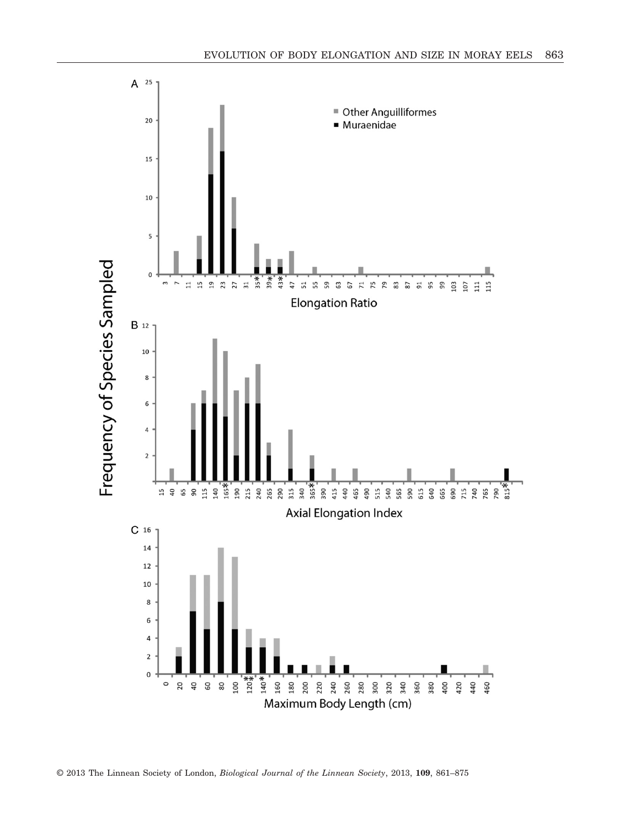

© 2013 The Linnean Society of London, *Biological Journal of the Linnean Society*, 2013, **109**, 861–875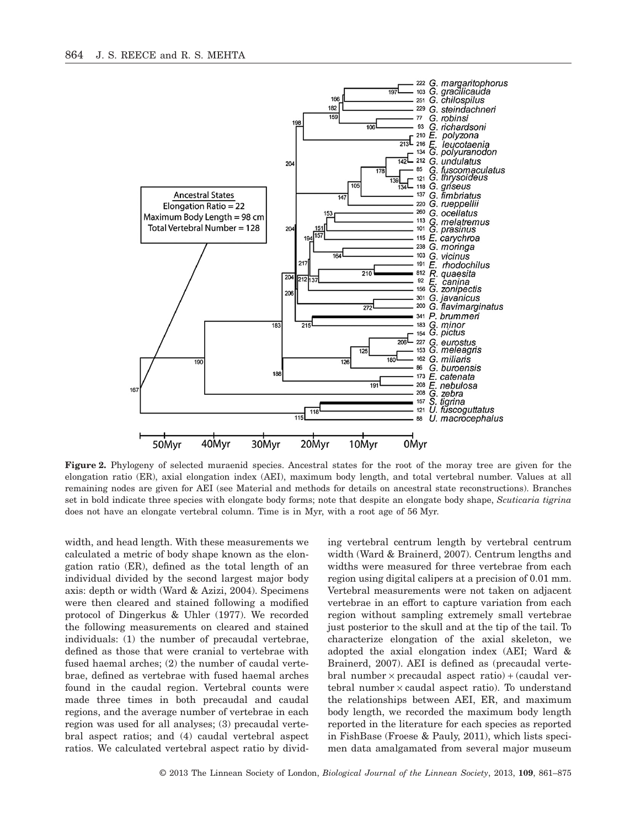

**Figure 2.** Phylogeny of selected muraenid species. Ancestral states for the root of the moray tree are given for the elongation ratio (ER), axial elongation index (AEI), maximum body length, and total vertebral number. Values at all remaining nodes are given for AEI (see Material and methods for details on ancestral state reconstructions). Branches set in bold indicate three species with elongate body forms; note that despite an elongate body shape, *Scuticaria tigrina* does not have an elongate vertebral column. Time is in Myr, with a root age of 56 Myr.

width, and head length. With these measurements we calculated a metric of body shape known as the elongation ratio (ER), defined as the total length of an individual divided by the second largest major body axis: depth or width (Ward & Azizi, 2004). Specimens were then cleared and stained following a modified protocol of Dingerkus & Uhler (1977). We recorded the following measurements on cleared and stained individuals: (1) the number of precaudal vertebrae, defined as those that were cranial to vertebrae with fused haemal arches; (2) the number of caudal vertebrae, defined as vertebrae with fused haemal arches found in the caudal region. Vertebral counts were made three times in both precaudal and caudal regions, and the average number of vertebrae in each region was used for all analyses; (3) precaudal vertebral aspect ratios; and (4) caudal vertebral aspect ratios. We calculated vertebral aspect ratio by dividing vertebral centrum length by vertebral centrum width (Ward & Brainerd, 2007). Centrum lengths and widths were measured for three vertebrae from each region using digital calipers at a precision of 0.01 mm. Vertebral measurements were not taken on adjacent vertebrae in an effort to capture variation from each region without sampling extremely small vertebrae just posterior to the skull and at the tip of the tail. To characterize elongation of the axial skeleton, we adopted the axial elongation index (AEI; Ward & Brainerd, 2007). AEI is defined as (precaudal vertebral number  $\times$  precaudal aspect ratio) + (caudal vertebral number  $\times$  caudal aspect ratio). To understand the relationships between AEI, ER, and maximum body length, we recorded the maximum body length reported in the literature for each species as reported in FishBase (Froese & Pauly, 2011), which lists specimen data amalgamated from several major museum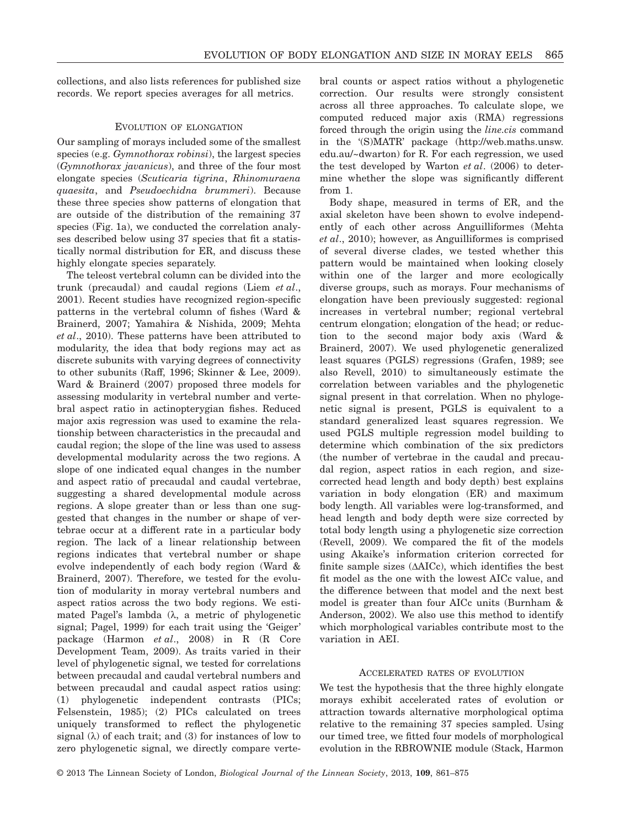collections, and also lists references for published size records. We report species averages for all metrics.

### EVOLUTION OF ELONGATION

Our sampling of morays included some of the smallest species (e.g. *Gymnothorax robinsi*), the largest species (*Gymnothorax javanicus*), and three of the four most elongate species (*Scuticaria tigrina*, *Rhinomuraena quaesita*, and *Pseudoechidna brummeri*). Because these three species show patterns of elongation that are outside of the distribution of the remaining 37 species (Fig. 1a), we conducted the correlation analyses described below using 37 species that fit a statistically normal distribution for ER, and discuss these highly elongate species separately.

The teleost vertebral column can be divided into the trunk (precaudal) and caudal regions (Liem *et al*., 2001). Recent studies have recognized region-specific patterns in the vertebral column of fishes (Ward & Brainerd, 2007; Yamahira & Nishida, 2009; Mehta *et al*., 2010). These patterns have been attributed to modularity, the idea that body regions may act as discrete subunits with varying degrees of connectivity to other subunits (Raff, 1996; Skinner & Lee, 2009). Ward & Brainerd (2007) proposed three models for assessing modularity in vertebral number and vertebral aspect ratio in actinopterygian fishes. Reduced major axis regression was used to examine the relationship between characteristics in the precaudal and caudal region; the slope of the line was used to assess developmental modularity across the two regions. A slope of one indicated equal changes in the number and aspect ratio of precaudal and caudal vertebrae, suggesting a shared developmental module across regions. A slope greater than or less than one suggested that changes in the number or shape of vertebrae occur at a different rate in a particular body region. The lack of a linear relationship between regions indicates that vertebral number or shape evolve independently of each body region (Ward & Brainerd, 2007). Therefore, we tested for the evolution of modularity in moray vertebral numbers and aspect ratios across the two body regions. We estimated Pagel's lambda  $(\lambda)$ , a metric of phylogenetic signal; Pagel, 1999) for each trait using the 'Geiger' package (Harmon *et al*., 2008) in R (R Core Development Team, 2009). As traits varied in their level of phylogenetic signal, we tested for correlations between precaudal and caudal vertebral numbers and between precaudal and caudal aspect ratios using: (1) phylogenetic independent contrasts (PICs; Felsenstein, 1985); (2) PICs calculated on trees uniquely transformed to reflect the phylogenetic signal  $(\lambda)$  of each trait; and  $(3)$  for instances of low to zero phylogenetic signal, we directly compare vertebral counts or aspect ratios without a phylogenetic correction. Our results were strongly consistent across all three approaches. To calculate slope, we computed reduced major axis (RMA) regressions forced through the origin using the *line.cis* command in the '(S)MATR' package (http://web.maths.unsw. edu.au/~dwarton) for R. For each regression, we used the test developed by Warton *et al*. (2006) to determine whether the slope was significantly different from 1.

Body shape, measured in terms of ER, and the axial skeleton have been shown to evolve independently of each other across Anguilliformes (Mehta *et al*., 2010); however, as Anguilliformes is comprised of several diverse clades, we tested whether this pattern would be maintained when looking closely within one of the larger and more ecologically diverse groups, such as morays. Four mechanisms of elongation have been previously suggested: regional increases in vertebral number; regional vertebral centrum elongation; elongation of the head; or reduction to the second major body axis (Ward & Brainerd, 2007). We used phylogenetic generalized least squares (PGLS) regressions (Grafen, 1989; see also Revell, 2010) to simultaneously estimate the correlation between variables and the phylogenetic signal present in that correlation. When no phylogenetic signal is present, PGLS is equivalent to a standard generalized least squares regression. We used PGLS multiple regression model building to determine which combination of the six predictors (the number of vertebrae in the caudal and precaudal region, aspect ratios in each region, and sizecorrected head length and body depth) best explains variation in body elongation (ER) and maximum body length. All variables were log-transformed, and head length and body depth were size corrected by total body length using a phylogenetic size correction (Revell, 2009). We compared the fit of the models using Akaike's information criterion corrected for finite sample sizes  $(\Delta AICc)$ , which identifies the best fit model as the one with the lowest AICc value, and the difference between that model and the next best model is greater than four AICc units (Burnham & Anderson, 2002). We also use this method to identify which morphological variables contribute most to the variation in AEI.

### ACCELERATED RATES OF EVOLUTION

We test the hypothesis that the three highly elongate morays exhibit accelerated rates of evolution or attraction towards alternative morphological optima relative to the remaining 37 species sampled. Using our timed tree, we fitted four models of morphological evolution in the RBROWNIE module (Stack, Harmon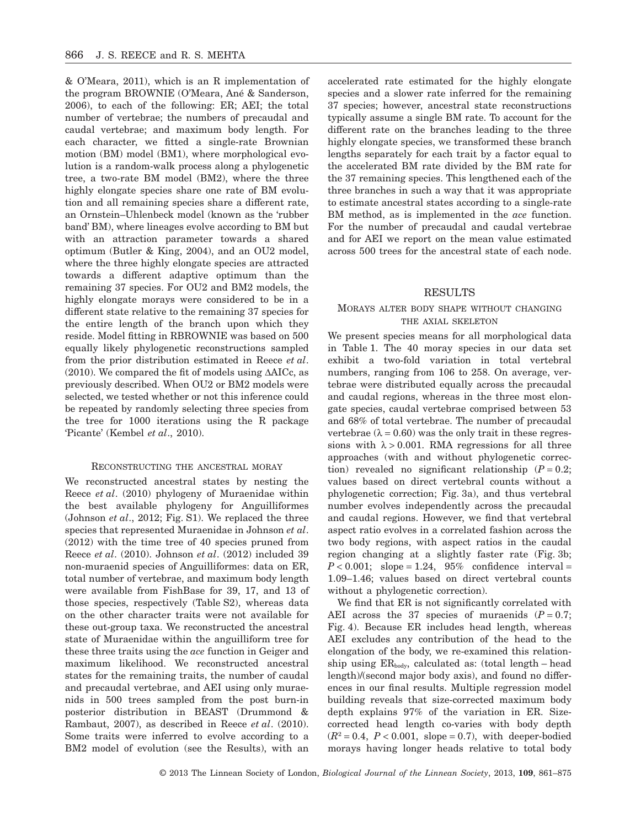& O'Meara, 2011), which is an R implementation of the program BROWNIE (O'Meara, Ané & Sanderson, 2006), to each of the following: ER; AEI; the total number of vertebrae; the numbers of precaudal and caudal vertebrae; and maximum body length. For each character, we fitted a single-rate Brownian motion (BM) model (BM1), where morphological evolution is a random-walk process along a phylogenetic tree, a two-rate BM model (BM2), where the three highly elongate species share one rate of BM evolution and all remaining species share a different rate, an Ornstein–Uhlenbeck model (known as the 'rubber band' BM), where lineages evolve according to BM but with an attraction parameter towards a shared optimum (Butler & King, 2004), and an OU2 model, where the three highly elongate species are attracted towards a different adaptive optimum than the remaining 37 species. For OU2 and BM2 models, the highly elongate morays were considered to be in a different state relative to the remaining 37 species for the entire length of the branch upon which they reside. Model fitting in RBROWNIE was based on 500 equally likely phylogenetic reconstructions sampled from the prior distribution estimated in Reece *et al*.  $(2010)$ . We compared the fit of models using  $\triangle AICc$ , as previously described. When OU2 or BM2 models were selected, we tested whether or not this inference could be repeated by randomly selecting three species from the tree for 1000 iterations using the R package 'Picante' (Kembel *et al*., 2010).

# RECONSTRUCTING THE ANCESTRAL MORAY

We reconstructed ancestral states by nesting the Reece *et al*. (2010) phylogeny of Muraenidae within the best available phylogeny for Anguilliformes (Johnson *et al*., 2012; Fig. S1). We replaced the three species that represented Muraenidae in Johnson *et al*. (2012) with the time tree of 40 species pruned from Reece *et al*. (2010). Johnson *et al*. (2012) included 39 non-muraenid species of Anguilliformes: data on ER, total number of vertebrae, and maximum body length were available from FishBase for 39, 17, and 13 of those species, respectively (Table S2), whereas data on the other character traits were not available for these out-group taxa. We reconstructed the ancestral state of Muraenidae within the anguilliform tree for these three traits using the *ace* function in Geiger and maximum likelihood. We reconstructed ancestral states for the remaining traits, the number of caudal and precaudal vertebrae, and AEI using only muraenids in 500 trees sampled from the post burn-in posterior distribution in BEAST (Drummond & Rambaut, 2007), as described in Reece *et al*. (2010). Some traits were inferred to evolve according to a BM2 model of evolution (see the Results), with an

accelerated rate estimated for the highly elongate species and a slower rate inferred for the remaining 37 species; however, ancestral state reconstructions typically assume a single BM rate. To account for the different rate on the branches leading to the three highly elongate species, we transformed these branch lengths separately for each trait by a factor equal to the accelerated BM rate divided by the BM rate for the 37 remaining species. This lengthened each of the three branches in such a way that it was appropriate to estimate ancestral states according to a single-rate BM method, as is implemented in the *ace* function. For the number of precaudal and caudal vertebrae and for AEI we report on the mean value estimated across 500 trees for the ancestral state of each node.

#### RESULTS

# MORAYS ALTER BODY SHAPE WITHOUT CHANGING THE AXIAL SKELETON

We present species means for all morphological data in Table 1. The 40 moray species in our data set exhibit a two-fold variation in total vertebral numbers, ranging from 106 to 258. On average, vertebrae were distributed equally across the precaudal and caudal regions, whereas in the three most elongate species, caudal vertebrae comprised between 53 and 68% of total vertebrae. The number of precaudal vertebrae ( $\lambda = 0.60$ ) was the only trait in these regressions with  $\lambda > 0.001$ . RMA regressions for all three approaches (with and without phylogenetic correction) revealed no significant relationship  $(P = 0.2;$ values based on direct vertebral counts without a phylogenetic correction; Fig. 3a), and thus vertebral number evolves independently across the precaudal and caudal regions. However, we find that vertebral aspect ratio evolves in a correlated fashion across the two body regions, with aspect ratios in the caudal region changing at a slightly faster rate (Fig. 3b;  $P < 0.001$ ; slope = 1.24, 95% confidence interval = 1.09–1.46; values based on direct vertebral counts without a phylogenetic correction).

We find that ER is not significantly correlated with AEI across the 37 species of muraenids  $(P = 0.7)$ ; Fig. 4). Because ER includes head length, whereas AEI excludes any contribution of the head to the elongation of the body, we re-examined this relationship using  $ER_{body}$ , calculated as: (total length – head length)/(second major body axis), and found no differences in our final results. Multiple regression model building reveals that size-corrected maximum body depth explains 97% of the variation in ER. Sizecorrected head length co-varies with body depth  $(R^2 = 0.4, P < 0.001, slope = 0.7)$ , with deeper-bodied morays having longer heads relative to total body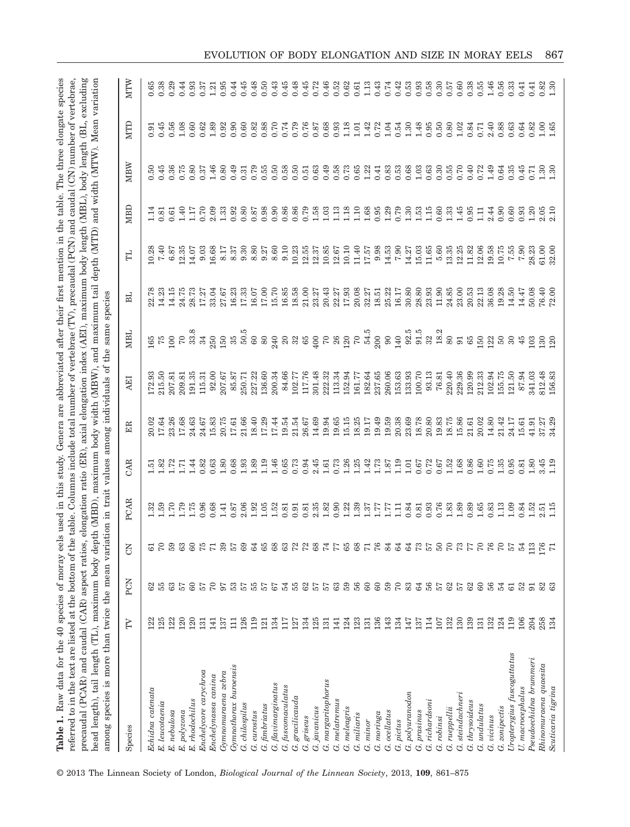| referred to in the text are listed at the bottom of the table. Columns include total number of vertebrae (TV), precaudal (PCN) and caudal (CN) number of vertebrae,<br>precaudal (PCAR) and caudal (CAR) aspect ratios, elongation ratio (ER), axial elongation index (AEI), maximum body length (MBL), body length (BL, excluding<br>Table 1. Raw data for the 40 species of moray eels used in this study. Genera are abbreviated after their first mention in the table. The three elongate species<br>head length), tail length (TL), maximum body depth (MBD), maximum body width (MBW), and maximum tail depth (MTD) and width (MTW). Mean variation<br>among species is more than twice the mean variation in trait values among individuals of the |            |                     |                |                |                                                     |                |                 | same species                                     |                |                    |                  |                  |              |                     |
|------------------------------------------------------------------------------------------------------------------------------------------------------------------------------------------------------------------------------------------------------------------------------------------------------------------------------------------------------------------------------------------------------------------------------------------------------------------------------------------------------------------------------------------------------------------------------------------------------------------------------------------------------------------------------------------------------------------------------------------------------------|------------|---------------------|----------------|----------------|-----------------------------------------------------|----------------|-----------------|--------------------------------------------------|----------------|--------------------|------------------|------------------|--------------|---------------------|
| Species                                                                                                                                                                                                                                                                                                                                                                                                                                                                                                                                                                                                                                                                                                                                                    | FV         | PCN                 | 5              | PCAR           | CAR                                                 | 岊              | ЦR              | NBL                                              | 님              | ᆸ                  | MBD              | MBW              | NTID         | MTW                 |
| $Echi$ idna catenata                                                                                                                                                                                                                                                                                                                                                                                                                                                                                                                                                                                                                                                                                                                                       | 122        | 62                  | 61             | 1.32           | 1.51                                                | 20.02          | 172.93          |                                                  | 22.78          | 10.28              | 1.14             | 0.50             | 0.91         | 0.65                |
| $E.$ leucotaenia                                                                                                                                                                                                                                                                                                                                                                                                                                                                                                                                                                                                                                                                                                                                           | 125        | 55                  | $\sqrt{2}$     | 1.59           | 1.82                                                | 17.64          | 215.50          | $165\atop75$                                     | 14.23          | 7.40               | 0.81             | 0.45             | 0.45         | 0.38                |
| E. nebulosa                                                                                                                                                                                                                                                                                                                                                                                                                                                                                                                                                                                                                                                                                                                                                | 122        | 63                  | 59             | 1.70           | 1.72                                                | 23.26          | 207.81          | 100                                              | 14.15          | 6.87               | 0.61             | 0.36             | 0.56         | 0.29                |
| E. polyzona                                                                                                                                                                                                                                                                                                                                                                                                                                                                                                                                                                                                                                                                                                                                                | 120        | 57                  | 63             | 1.79           | 1.71                                                | 17.68          | 209.81          | $\sqrt{2}$                                       | 24.75          | 12.35              | 1.40             | 0.75             | 1.08         | 0.44                |
| E. rhodochilus                                                                                                                                                                                                                                                                                                                                                                                                                                                                                                                                                                                                                                                                                                                                             | 120        | $60\,$              | 60             | 1.75           | 1.44                                                | 24.63          | 191.35          | 33.8                                             | 28.73          | 14.07              | 1.17             | 0.80             | 0.60         | 0.93                |
| Enchelycore carychroa                                                                                                                                                                                                                                                                                                                                                                                                                                                                                                                                                                                                                                                                                                                                      | 131        | 57                  | 75             | 0.96           | 0.82                                                | 24.67          | 115.31          | 34                                               | 17.27          | 9.03               | 0.70             | 0.37             | 0.62         | 0.37                |
| Gymnomuraena zebra<br>Enchelynassa canina                                                                                                                                                                                                                                                                                                                                                                                                                                                                                                                                                                                                                                                                                                                  | 137<br>141 | $\mathcal{L}$<br>67 | 71<br>39       | 0.68<br>1.41   | $1.80\,$<br>0.63                                    | 15.83<br>20.75 | 92.00<br>207.67 | 250                                              | 33.04<br>27.67 | 16.68<br>8.17      | 2.09<br>1.33     | 1.46<br>0.80     | 1.89<br>0.92 | 0.95<br>1.21        |
| Gymnothorax buroensis                                                                                                                                                                                                                                                                                                                                                                                                                                                                                                                                                                                                                                                                                                                                      | 믑          | 53                  | 57             | 0.87           | 0.68                                                | 17.61          | 85.87           | $\begin{array}{c} 150 \\ 35 \\ 50.5 \end{array}$ | 16.23          |                    | 0.92             | 0.49             | 0.90         | 0.44                |
| G. chilospilus                                                                                                                                                                                                                                                                                                                                                                                                                                                                                                                                                                                                                                                                                                                                             | 126        | 57                  | 69             | 2.06           | 1.93                                                | 21.66          | 250.71          |                                                  | 17.33          | $8.37$<br>9.30     | 0.80             | 0.31             | 0.60         | 0.45                |
| G. eurostus                                                                                                                                                                                                                                                                                                                                                                                                                                                                                                                                                                                                                                                                                                                                                | 119        | 55                  | 64             | 1.92           | 1.89                                                |                | 227.22          | $\mbox{60}$                                      | 16.07          | 8.80               | 0.87             | 0.79             | 0.82         |                     |
| $G.$ fimbriatus                                                                                                                                                                                                                                                                                                                                                                                                                                                                                                                                                                                                                                                                                                                                            | 121        | 57                  | 65             | 1.05           | 1.19                                                | 18.40<br>17.29 | 136.60          | $\rm 80$                                         | 17.00          | 9.27               | 0.98             | 0.55             | 0.88         | $0.48$<br>$0.50$    |
| G. flavimarginatus                                                                                                                                                                                                                                                                                                                                                                                                                                                                                                                                                                                                                                                                                                                                         | 134        | $67$                | 68             | 1.52           | 1.46                                                | 17.44          | 200.34          | 240                                              | 15.70          | 8.60               | 0.90             | 0.50             | 0.70         | $0.43$<br>$0.45$    |
| G. fuscomaculatus                                                                                                                                                                                                                                                                                                                                                                                                                                                                                                                                                                                                                                                                                                                                          | 117        | 54                  | 63             | 0.81           | 0.65                                                | 19.54          | 84.66           | $20\,$                                           | 16.85          | 9.10               | 0.86             | 0.58             | 0.74         |                     |
| gracilicauda<br>Ġ                                                                                                                                                                                                                                                                                                                                                                                                                                                                                                                                                                                                                                                                                                                                          | 127        | 55                  | 72             | 0.91           | 0.73                                                | 21.54          | 102.77          | $32\,$ $65$                                      | 18.58          | 10.23              | 0.86             | 0.50             | 0.79         | 0.48                |
| G. griseus                                                                                                                                                                                                                                                                                                                                                                                                                                                                                                                                                                                                                                                                                                                                                 | 134        | 62                  | 72             | 0.81           | 0.94                                                | 26.67          | 117.76          |                                                  | 21.00          | 12.55              | 0.79             | 0.51             | 0.76         | 0.45                |
| G. javanicus                                                                                                                                                                                                                                                                                                                                                                                                                                                                                                                                                                                                                                                                                                                                               | 125        | 57                  | 68             | 2.35           | 2.45                                                | 14.69          | 301.48          | 400                                              | 23.27          | 12.37              | $1.58$<br>$1.03$ | 0.63             | 0.87         | 0.72                |
| G. margaritophorus                                                                                                                                                                                                                                                                                                                                                                                                                                                                                                                                                                                                                                                                                                                                         | 131        | 57                  | 74             | 1.82           | 1.61                                                | 19.94          | 222.32          | $70\,$                                           | 20.43          | 10.85              |                  | 0.49             | 0.68         | 0.46                |
| G. melatremus                                                                                                                                                                                                                                                                                                                                                                                                                                                                                                                                                                                                                                                                                                                                              | 141        |                     | 77             | 0.90           | 0.73                                                | 19.65          | 113.34          |                                                  | 22.27          | 12.67              | $1.13$<br>$1.18$ | 0.58             | 0.93         | 0.52                |
| G. meleagris                                                                                                                                                                                                                                                                                                                                                                                                                                                                                                                                                                                                                                                                                                                                               | 124        | 3358                | 65             | 1.22           | $1.26$<br>$1.25$                                    | 15.15          | 152.94          | 26<br>120<br>70<br>54.5                          | 17.93          | 10.10              |                  | 0.73             | 1.18         | 0.62                |
| G. miliaris                                                                                                                                                                                                                                                                                                                                                                                                                                                                                                                                                                                                                                                                                                                                                | 123        |                     | 68             | 1.39           |                                                     | 18.25          | 161.77          |                                                  | 20.08          | 11.40              | 1.10             | 0.65             | 1.01         | 0.61                |
| G. minor                                                                                                                                                                                                                                                                                                                                                                                                                                                                                                                                                                                                                                                                                                                                                   | 131        |                     | $\overline{7}$ | 1.37           | 1.42                                                | 19.17          | 182.64          |                                                  | 32.27          | 17.57              | 1.68             | 1.22             | 1.42         | 1.13                |
| G. moringa                                                                                                                                                                                                                                                                                                                                                                                                                                                                                                                                                                                                                                                                                                                                                 | 136        | 60                  | 76             | 1.77           | 1.73                                                | 19.49          | 237.65          | 200                                              | 18.51          | 9.98               | 0.95             | 0.41             | 0.72         | 0.43                |
| G. ocellatus                                                                                                                                                                                                                                                                                                                                                                                                                                                                                                                                                                                                                                                                                                                                               | 143        | 59                  | 84             | 1.77           | 1.87                                                | 19.59          | 260.06          | $90\,$                                           | 25.22          | 14.53              | 1.29             | 0.83             | 1.04         | 0.74                |
| G. pictus                                                                                                                                                                                                                                                                                                                                                                                                                                                                                                                                                                                                                                                                                                                                                  | 134        | $\sqrt{2}$          | 64             | $\overline{1}$ | 1.19                                                | 20.38          | 153.63          | 140                                              | 16.17          | 7.90               | 0.79             | 0.53             | 0.54         | 0.42                |
| G. polyuranodon                                                                                                                                                                                                                                                                                                                                                                                                                                                                                                                                                                                                                                                                                                                                            | 147        | 83                  | 64             | 0.84           | 1.01                                                | 23.69          | 133.93          | 92.5                                             | 30.80          | 14.27              | 1.30             | 0.68             | 1.30         | 0.53                |
| G. richardsoni<br>G. prasinus                                                                                                                                                                                                                                                                                                                                                                                                                                                                                                                                                                                                                                                                                                                              | 114<br>137 | 64                  | 73<br>57       | 0.93<br>0.81   | 0.72<br>0.67                                        | 18.78<br>20.80 | 100.70<br>93.13 | 91.5                                             | 28.80<br>23.93 | 15.03<br>11.65     | 1.15<br>1.53     | 1.03             | 1.48<br>0.95 | 0.93<br>0.58        |
| G. robinsi                                                                                                                                                                                                                                                                                                                                                                                                                                                                                                                                                                                                                                                                                                                                                 | 107        | 56<br>57            | 50             | 0.76           | 0.67                                                | 19.83          | 76.81           | $\begin{array}{c} 32 \\ 18.2 \end{array}$        | 11.90          | 5.60               | 0.60             | $0.63$<br>$0.30$ | 0.50         | 0.30                |
| G. rueppellii                                                                                                                                                                                                                                                                                                                                                                                                                                                                                                                                                                                                                                                                                                                                              | 132        |                     |                | 1.83           |                                                     | 18.75          | 220.40          | $80\,$                                           | 24.85          |                    | 1.33             |                  | 0.80         | 0.57                |
| G. steindachneri                                                                                                                                                                                                                                                                                                                                                                                                                                                                                                                                                                                                                                                                                                                                           | 130        |                     | $^{70}_{73}$   | 1.89           |                                                     | 15.86          | 229.36          | 91                                               | 23.00          | $13.35$<br>$12.25$ | 1.45             | $0.55$<br>$0.70$ | 1.02         | 0.60                |
| G. thrysoideus                                                                                                                                                                                                                                                                                                                                                                                                                                                                                                                                                                                                                                                                                                                                             | 139        | 8588                |                | 0.89           | $\begin{array}{c} 1.52 \\ 1.68 \\ 0.86 \end{array}$ | 21.61          | 120.99          | 65                                               | 20.53          | 11.82              | 0.95             |                  | 0.84         |                     |
| $G.$ undulatus                                                                                                                                                                                                                                                                                                                                                                                                                                                                                                                                                                                                                                                                                                                                             | 131        |                     | 02             | 1.65           | 1.60                                                | 20.02          | 212.33          | 150                                              | 22.13          | 12.06              | $\Xi$            | 0.40<br>0.72     | 0.71         | $0.38$<br>$0.55$    |
| G. vicinus                                                                                                                                                                                                                                                                                                                                                                                                                                                                                                                                                                                                                                                                                                                                                 | 132        | 56                  | $^{76}_{70}$   | 0.83           | 0.75                                                | 14.80          | 102.94          | 122                                              | 36.08          | 19.58              | 2.44             | 1.49             | 2.40         | $1.46$<br>$0.56$    |
| G. zonipectis                                                                                                                                                                                                                                                                                                                                                                                                                                                                                                                                                                                                                                                                                                                                              | 124        | 54                  |                | 1.13           | 1.35                                                | 21.42          | 155.75          | $50\,$                                           | 19.28          | 10.75              | 0.90             | 0.64             | 0.88         |                     |
| Uropterygius fuscoguttatus                                                                                                                                                                                                                                                                                                                                                                                                                                                                                                                                                                                                                                                                                                                                 | 119        | $\overline{6}$      | 57             | 1.09           | 0.95                                                | 24.17          | 121.50          | $30\,$                                           | 14.50          | 7.55               | 0.60             | 0.35             | 0.63         | 0.33                |
| U. macrocephalus                                                                                                                                                                                                                                                                                                                                                                                                                                                                                                                                                                                                                                                                                                                                           | 106        | 52                  | 54             | 0.84           | 0.81                                                | 15.61          | 87.94           | 45                                               | 14.47          | 7.90               | 0.93             | 0.45             | 0.64         | 0.41                |
| Pseudoechidna brummeri                                                                                                                                                                                                                                                                                                                                                                                                                                                                                                                                                                                                                                                                                                                                     | 204        | 51                  | 113            | 1.52           | 1.80                                                | 41.91          | 341.03          | 103                                              | 50.08          | 28.23              | 1.20             | 0.71             | 0.82         | 0.41                |
| Rhi no muraena quaesita                                                                                                                                                                                                                                                                                                                                                                                                                                                                                                                                                                                                                                                                                                                                    | 258        | 82                  | 176            | 2.51           | 3.45                                                | 37.27          | 812.48          | 130                                              | 76.40          | 61.00              | 2.05             | $1.30$<br>$1.30$ | 1.00         | $\frac{0.82}{1.30}$ |
| Scuticaria tigrina                                                                                                                                                                                                                                                                                                                                                                                                                                                                                                                                                                                                                                                                                                                                         | 134        | ස                   | 71             | 1.15           | 1.19                                                | 34.29          | 156.83          | 120                                              | 72.00          | 32.00              | 2.10             |                  | 1.65         |                     |

© 2013 The Linnean Society of London, *Biological Journal of the Linnean Society*, 2013, **109**, 861–875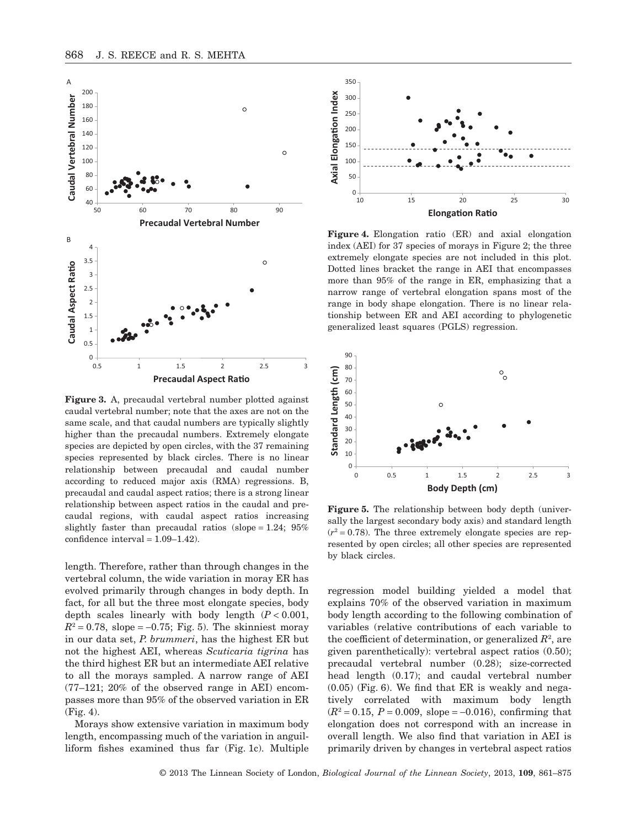

**Figure 3.** A, precaudal vertebral number plotted against caudal vertebral number; note that the axes are not on the same scale, and that caudal numbers are typically slightly higher than the precaudal numbers. Extremely elongate species are depicted by open circles, with the 37 remaining species represented by black circles. There is no linear relationship between precaudal and caudal number according to reduced major axis (RMA) regressions. B, precaudal and caudal aspect ratios; there is a strong linear relationship between aspect ratios in the caudal and precaudal regions, with caudal aspect ratios increasing slightly faster than precaudal ratios (slope =  $1.24$ ;  $95\%$ confidence interval = 1.09–1.42).

length. Therefore, rather than through changes in the vertebral column, the wide variation in moray ER has evolved primarily through changes in body depth. In fact, for all but the three most elongate species, body depth scales linearly with body length (*P* < 0.001,  $R^2 = 0.78$ , slope =  $-0.75$ ; Fig. 5). The skinniest moray in our data set, *P. brummeri*, has the highest ER but not the highest AEI, whereas *Scuticaria tigrina* has the third highest ER but an intermediate AEI relative to all the morays sampled. A narrow range of AEI (77–121; 20% of the observed range in AEI) encompasses more than 95% of the observed variation in ER (Fig. 4).

Morays show extensive variation in maximum body length, encompassing much of the variation in anguilliform fishes examined thus far (Fig. 1c). Multiple



**Figure 4.** Elongation ratio (ER) and axial elongation index (AEI) for 37 species of morays in Figure 2; the three extremely elongate species are not included in this plot. Dotted lines bracket the range in AEI that encompasses more than 95% of the range in ER, emphasizing that a narrow range of vertebral elongation spans most of the range in body shape elongation. There is no linear relationship between ER and AEI according to phylogenetic generalized least squares (PGLS) regression.



**Figure 5.** The relationship between body depth (universally the largest secondary body axis) and standard length  $(r^2 = 0.78)$ . The three extremely elongate species are represented by open circles; all other species are represented by black circles.

regression model building yielded a model that explains 70% of the observed variation in maximum body length according to the following combination of variables (relative contributions of each variable to the coefficient of determination, or generalized  $R^2$ , are given parenthetically): vertebral aspect ratios (0.50); precaudal vertebral number (0.28); size-corrected head length (0.17); and caudal vertebral number (0.05) (Fig. 6). We find that ER is weakly and negatively correlated with maximum body length  $(R^2 = 0.15, P = 0.009,$  slope = -0.016), confirming that elongation does not correspond with an increase in overall length. We also find that variation in AEI is primarily driven by changes in vertebral aspect ratios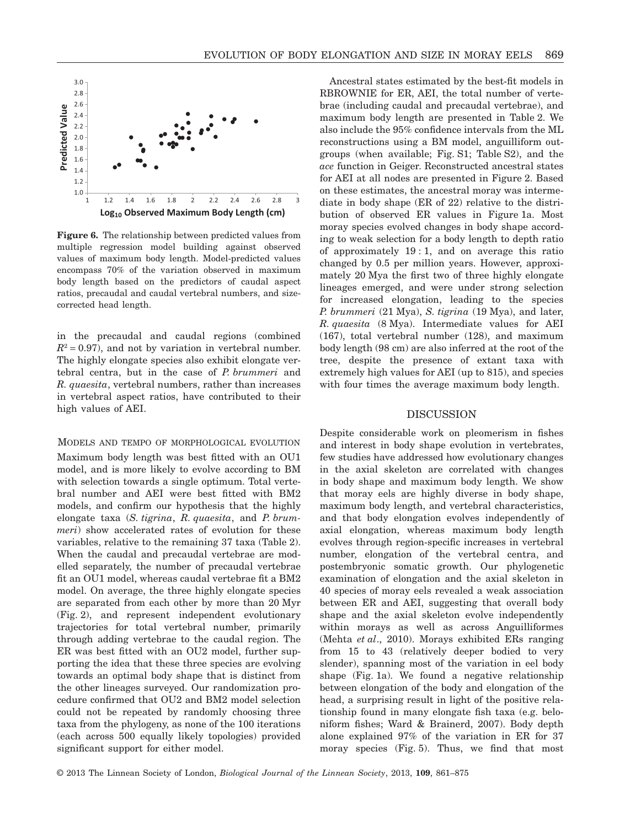

**Figure 6.** The relationship between predicted values from multiple regression model building against observed values of maximum body length. Model-predicted values encompass 70% of the variation observed in maximum body length based on the predictors of caudal aspect ratios, precaudal and caudal vertebral numbers, and sizecorrected head length.

in the precaudal and caudal regions (combined  $R^2 = 0.97$ , and not by variation in vertebral number. The highly elongate species also exhibit elongate vertebral centra, but in the case of *P. brummeri* and *R. quaesita*, vertebral numbers, rather than increases in vertebral aspect ratios, have contributed to their high values of AEI.

#### MODELS AND TEMPO OF MORPHOLOGICAL EVOLUTION

Maximum body length was best fitted with an OU1 model, and is more likely to evolve according to BM with selection towards a single optimum. Total vertebral number and AEI were best fitted with BM2 models, and confirm our hypothesis that the highly elongate taxa (*S. tigrina*, *R. quaesita*, and *P. brummeri*) show accelerated rates of evolution for these variables, relative to the remaining 37 taxa (Table 2). When the caudal and precaudal vertebrae are modelled separately, the number of precaudal vertebrae fit an OU1 model, whereas caudal vertebrae fit a BM2 model. On average, the three highly elongate species are separated from each other by more than 20 Myr (Fig. 2), and represent independent evolutionary trajectories for total vertebral number, primarily through adding vertebrae to the caudal region. The ER was best fitted with an OU2 model, further supporting the idea that these three species are evolving towards an optimal body shape that is distinct from the other lineages surveyed. Our randomization procedure confirmed that OU2 and BM2 model selection could not be repeated by randomly choosing three taxa from the phylogeny, as none of the 100 iterations (each across 500 equally likely topologies) provided significant support for either model.

Ancestral states estimated by the best-fit models in RBROWNIE for ER, AEI, the total number of vertebrae (including caudal and precaudal vertebrae), and maximum body length are presented in Table 2. We also include the 95% confidence intervals from the ML reconstructions using a BM model, anguilliform outgroups (when available; Fig. S1; Table S2), and the *ace* function in Geiger. Reconstructed ancestral states for AEI at all nodes are presented in Figure 2. Based on these estimates, the ancestral moray was intermediate in body shape (ER of 22) relative to the distribution of observed ER values in Figure 1a. Most moray species evolved changes in body shape according to weak selection for a body length to depth ratio of approximately 19 : 1, and on average this ratio changed by 0.5 per million years. However, approximately 20 Mya the first two of three highly elongate lineages emerged, and were under strong selection for increased elongation, leading to the species *P. brummeri* (21 Mya), *S. tigrina* (19 Mya), and later, *R. quaesita* (8 Mya). Intermediate values for AEI (167), total vertebral number (128), and maximum body length (98 cm) are also inferred at the root of the tree, despite the presence of extant taxa with extremely high values for AEI (up to 815), and species with four times the average maximum body length.

## DISCUSSION

Despite considerable work on pleomerism in fishes and interest in body shape evolution in vertebrates, few studies have addressed how evolutionary changes in the axial skeleton are correlated with changes in body shape and maximum body length. We show that moray eels are highly diverse in body shape, maximum body length, and vertebral characteristics, and that body elongation evolves independently of axial elongation, whereas maximum body length evolves through region-specific increases in vertebral number, elongation of the vertebral centra, and postembryonic somatic growth. Our phylogenetic examination of elongation and the axial skeleton in 40 species of moray eels revealed a weak association between ER and AEI, suggesting that overall body shape and the axial skeleton evolve independently within morays as well as across Anguilliformes (Mehta *et al*., 2010). Morays exhibited ERs ranging from 15 to 43 (relatively deeper bodied to very slender), spanning most of the variation in eel body shape (Fig. 1a). We found a negative relationship between elongation of the body and elongation of the head, a surprising result in light of the positive relationship found in many elongate fish taxa (e.g. beloniform fishes; Ward & Brainerd, 2007). Body depth alone explained 97% of the variation in ER for 37 moray species (Fig. 5). Thus, we find that most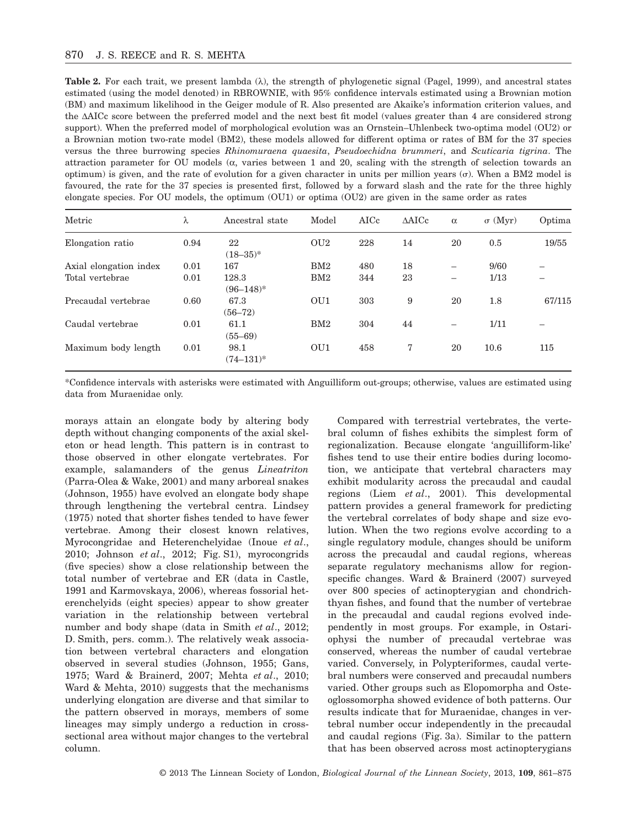**Table 2.** For each trait, we present lambda  $(\lambda)$ , the strength of phylogenetic signal (Pagel, 1999), and ancestral states estimated (using the model denoted) in RBROWNIE, with 95% confidence intervals estimated using a Brownian motion (BM) and maximum likelihood in the Geiger module of R. Also presented are Akaike's information criterion values, and the DAICc score between the preferred model and the next best fit model (values greater than 4 are considered strong support). When the preferred model of morphological evolution was an Ornstein–Uhlenbeck two-optima model (OU2) or a Brownian motion two-rate model (BM2), these models allowed for different optima or rates of BM for the 37 species versus the three burrowing species *Rhinomuraena quaesita*, *Pseudoechidna brummeri*, and *Scuticaria tigrina*. The attraction parameter for OU models  $(\alpha, \alpha)$  varies between 1 and 20, scaling with the strength of selection towards an optimum) is given, and the rate of evolution for a given character in units per million years ( $\sigma$ ). When a BM2 model is favoured, the rate for the 37 species is presented first, followed by a forward slash and the rate for the three highly elongate species. For OU models, the optimum (OU1) or optima (OU2) are given in the same order as rates

| Metric                 | λ    | Ancestral state         | Model           | AICc | $\triangle$ AICc | $\alpha$                 | $\sigma$ (Myr) | Optima |
|------------------------|------|-------------------------|-----------------|------|------------------|--------------------------|----------------|--------|
| Elongation ratio       | 0.94 | 22<br>$(18-35)^*$       | OU <sub>2</sub> | 228  | 14               | 20                       | 0.5            | 19/55  |
| Axial elongation index | 0.01 | 167                     | BM2             | 480  | 18               | $\overline{\phantom{0}}$ | 9/60           |        |
| Total vertebrae        | 0.01 | 128.3<br>$(96 - 148)^*$ | BM2             | 344  | 23               | $\overline{\phantom{0}}$ | 1/13           |        |
| Precaudal vertebrae    | 0.60 | 67.3<br>$(56 - 72)$     | OU1             | 303  | 9                | 20                       | 1.8            | 67/115 |
| Caudal vertebrae       | 0.01 | 61.1<br>$(55 - 69)$     | BM2             | 304  | 44               |                          | 1/11           |        |
| Maximum body length    | 0.01 | 98.1<br>$(74 - 131)^*$  | OU1             | 458  | 7                | 20                       | 10.6           | 115    |

\*Confidence intervals with asterisks were estimated with Anguilliform out-groups; otherwise, values are estimated using data from Muraenidae only.

morays attain an elongate body by altering body depth without changing components of the axial skeleton or head length. This pattern is in contrast to those observed in other elongate vertebrates. For example, salamanders of the genus *Lineatriton* (Parra-Olea & Wake, 2001) and many arboreal snakes (Johnson, 1955) have evolved an elongate body shape through lengthening the vertebral centra. Lindsey (1975) noted that shorter fishes tended to have fewer vertebrae. Among their closest known relatives, Myrocongridae and Heterenchelyidae (Inoue *et al*., 2010; Johnson *et al*., 2012; Fig. S1), myrocongrids (five species) show a close relationship between the total number of vertebrae and ER (data in Castle, 1991 and Karmovskaya, 2006), whereas fossorial heterenchelyids (eight species) appear to show greater variation in the relationship between vertebral number and body shape (data in Smith *et al*., 2012; D. Smith, pers. comm.). The relatively weak association between vertebral characters and elongation observed in several studies (Johnson, 1955; Gans, 1975; Ward & Brainerd, 2007; Mehta *et al*., 2010; Ward & Mehta, 2010) suggests that the mechanisms underlying elongation are diverse and that similar to the pattern observed in morays, members of some lineages may simply undergo a reduction in crosssectional area without major changes to the vertebral column.

Compared with terrestrial vertebrates, the vertebral column of fishes exhibits the simplest form of regionalization. Because elongate 'anguilliform-like' fishes tend to use their entire bodies during locomotion, we anticipate that vertebral characters may exhibit modularity across the precaudal and caudal regions (Liem *et al*., 2001). This developmental pattern provides a general framework for predicting the vertebral correlates of body shape and size evolution. When the two regions evolve according to a single regulatory module, changes should be uniform across the precaudal and caudal regions, whereas separate regulatory mechanisms allow for regionspecific changes. Ward & Brainerd (2007) surveyed over 800 species of actinopterygian and chondrichthyan fishes, and found that the number of vertebrae in the precaudal and caudal regions evolved independently in most groups. For example, in Ostariophysi the number of precaudal vertebrae was conserved, whereas the number of caudal vertebrae varied. Conversely, in Polypteriformes, caudal vertebral numbers were conserved and precaudal numbers varied. Other groups such as Elopomorpha and Osteoglossomorpha showed evidence of both patterns. Our results indicate that for Muraenidae, changes in vertebral number occur independently in the precaudal and caudal regions (Fig. 3a). Similar to the pattern that has been observed across most actinopterygians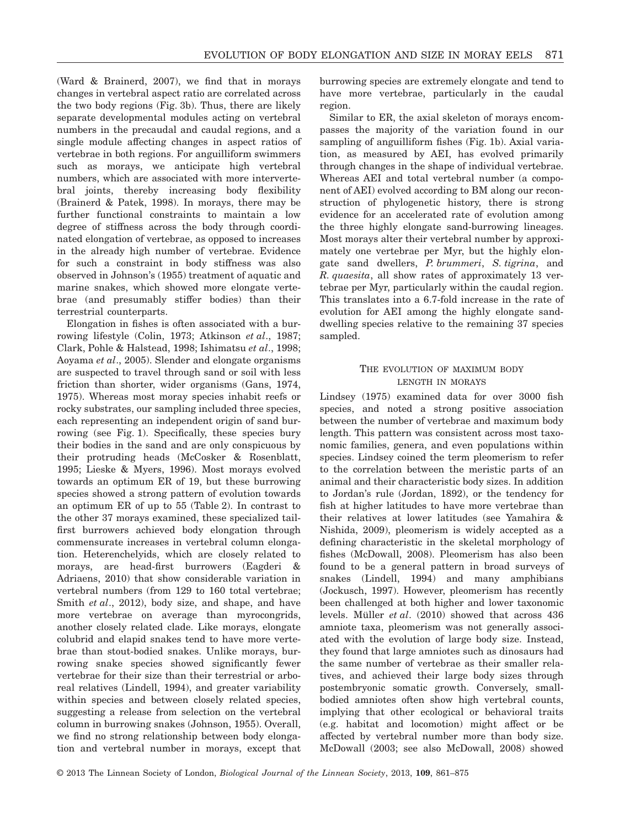(Ward & Brainerd, 2007), we find that in morays changes in vertebral aspect ratio are correlated across the two body regions (Fig. 3b). Thus, there are likely separate developmental modules acting on vertebral numbers in the precaudal and caudal regions, and a single module affecting changes in aspect ratios of vertebrae in both regions. For anguilliform swimmers such as morays, we anticipate high vertebral numbers, which are associated with more intervertebral joints, thereby increasing body flexibility (Brainerd & Patek, 1998). In morays, there may be further functional constraints to maintain a low degree of stiffness across the body through coordinated elongation of vertebrae, as opposed to increases in the already high number of vertebrae. Evidence for such a constraint in body stiffness was also observed in Johnson's (1955) treatment of aquatic and marine snakes, which showed more elongate vertebrae (and presumably stiffer bodies) than their terrestrial counterparts.

Elongation in fishes is often associated with a burrowing lifestyle (Colin, 1973; Atkinson *et al*., 1987; Clark, Pohle & Halstead, 1998; Ishimatsu *et al*., 1998; Aoyama *et al*., 2005). Slender and elongate organisms are suspected to travel through sand or soil with less friction than shorter, wider organisms (Gans, 1974, 1975). Whereas most moray species inhabit reefs or rocky substrates, our sampling included three species, each representing an independent origin of sand burrowing (see Fig. 1). Specifically, these species bury their bodies in the sand and are only conspicuous by their protruding heads (McCosker & Rosenblatt, 1995; Lieske & Myers, 1996). Most morays evolved towards an optimum ER of 19, but these burrowing species showed a strong pattern of evolution towards an optimum ER of up to 55 (Table 2). In contrast to the other 37 morays examined, these specialized tailfirst burrowers achieved body elongation through commensurate increases in vertebral column elongation. Heterenchelyids, which are closely related to morays, are head-first burrowers (Eagderi & Adriaens, 2010) that show considerable variation in vertebral numbers (from 129 to 160 total vertebrae; Smith *et al*., 2012), body size, and shape, and have more vertebrae on average than myrocongrids, another closely related clade. Like morays, elongate colubrid and elapid snakes tend to have more vertebrae than stout-bodied snakes. Unlike morays, burrowing snake species showed significantly fewer vertebrae for their size than their terrestrial or arboreal relatives (Lindell, 1994), and greater variability within species and between closely related species, suggesting a release from selection on the vertebral column in burrowing snakes (Johnson, 1955). Overall, we find no strong relationship between body elongation and vertebral number in morays, except that burrowing species are extremely elongate and tend to have more vertebrae, particularly in the caudal region.

Similar to ER, the axial skeleton of morays encompasses the majority of the variation found in our sampling of anguilliform fishes (Fig. 1b). Axial variation, as measured by AEI, has evolved primarily through changes in the shape of individual vertebrae. Whereas AEI and total vertebral number (a component of AEI) evolved according to BM along our reconstruction of phylogenetic history, there is strong evidence for an accelerated rate of evolution among the three highly elongate sand-burrowing lineages. Most morays alter their vertebral number by approximately one vertebrae per Myr, but the highly elongate sand dwellers, *P. brummeri*, *S. tigrina*, and *R. quaesita*, all show rates of approximately 13 vertebrae per Myr, particularly within the caudal region. This translates into a 6.7-fold increase in the rate of evolution for AEI among the highly elongate sanddwelling species relative to the remaining 37 species sampled.

# THE EVOLUTION OF MAXIMUM BODY LENGTH IN MORAYS

Lindsey (1975) examined data for over 3000 fish species, and noted a strong positive association between the number of vertebrae and maximum body length. This pattern was consistent across most taxonomic families, genera, and even populations within species. Lindsey coined the term pleomerism to refer to the correlation between the meristic parts of an animal and their characteristic body sizes. In addition to Jordan's rule (Jordan, 1892), or the tendency for fish at higher latitudes to have more vertebrae than their relatives at lower latitudes (see Yamahira & Nishida, 2009), pleomerism is widely accepted as a defining characteristic in the skeletal morphology of fishes (McDowall, 2008). Pleomerism has also been found to be a general pattern in broad surveys of snakes (Lindell, 1994) and many amphibians (Jockusch, 1997). However, pleomerism has recently been challenged at both higher and lower taxonomic levels. Müller *et al*. (2010) showed that across 436 amniote taxa, pleomerism was not generally associated with the evolution of large body size. Instead, they found that large amniotes such as dinosaurs had the same number of vertebrae as their smaller relatives, and achieved their large body sizes through postembryonic somatic growth. Conversely, smallbodied amniotes often show high vertebral counts, implying that other ecological or behavioral traits (e.g. habitat and locomotion) might affect or be affected by vertebral number more than body size. McDowall (2003; see also McDowall, 2008) showed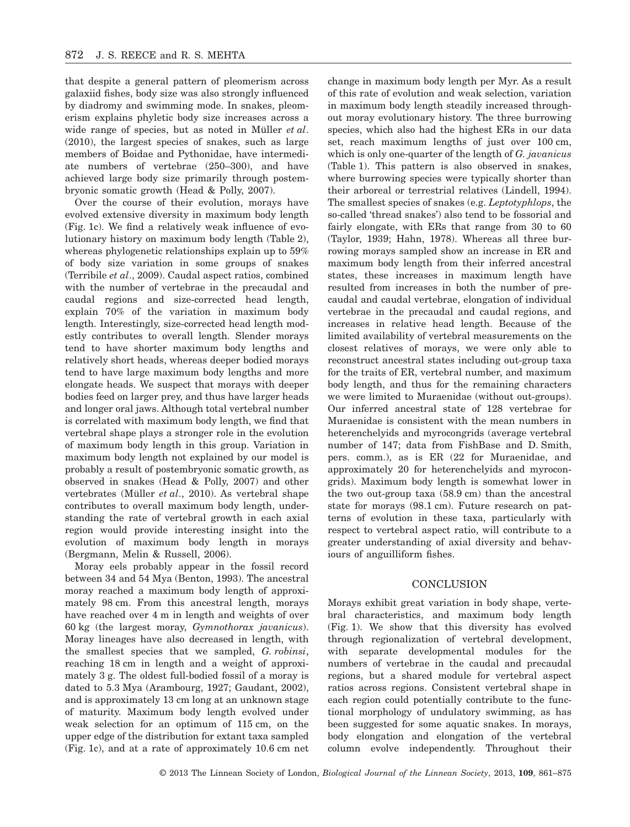that despite a general pattern of pleomerism across galaxiid fishes, body size was also strongly influenced by diadromy and swimming mode. In snakes, pleomerism explains phyletic body size increases across a wide range of species, but as noted in Müller *et al*. (2010), the largest species of snakes, such as large members of Boidae and Pythonidae, have intermediate numbers of vertebrae (250–300), and have achieved large body size primarily through postembryonic somatic growth (Head & Polly, 2007).

Over the course of their evolution, morays have evolved extensive diversity in maximum body length (Fig. 1c). We find a relatively weak influence of evolutionary history on maximum body length (Table 2), whereas phylogenetic relationships explain up to 59% of body size variation in some groups of snakes (Terribile *et al*., 2009). Caudal aspect ratios, combined with the number of vertebrae in the precaudal and caudal regions and size-corrected head length, explain 70% of the variation in maximum body length. Interestingly, size-corrected head length modestly contributes to overall length. Slender morays tend to have shorter maximum body lengths and relatively short heads, whereas deeper bodied morays tend to have large maximum body lengths and more elongate heads. We suspect that morays with deeper bodies feed on larger prey, and thus have larger heads and longer oral jaws. Although total vertebral number is correlated with maximum body length, we find that vertebral shape plays a stronger role in the evolution of maximum body length in this group. Variation in maximum body length not explained by our model is probably a result of postembryonic somatic growth, as observed in snakes (Head & Polly, 2007) and other vertebrates (Müller *et al*., 2010). As vertebral shape contributes to overall maximum body length, understanding the rate of vertebral growth in each axial region would provide interesting insight into the evolution of maximum body length in morays (Bergmann, Melin & Russell, 2006).

Moray eels probably appear in the fossil record between 34 and 54 Mya (Benton, 1993). The ancestral moray reached a maximum body length of approximately 98 cm. From this ancestral length, morays have reached over 4 m in length and weights of over 60 kg (the largest moray, *Gymnothorax javanicus*). Moray lineages have also decreased in length, with the smallest species that we sampled, *G. robinsi*, reaching 18 cm in length and a weight of approximately 3 g. The oldest full-bodied fossil of a moray is dated to 5.3 Mya (Arambourg, 1927; Gaudant, 2002), and is approximately 13 cm long at an unknown stage of maturity. Maximum body length evolved under weak selection for an optimum of 115 cm, on the upper edge of the distribution for extant taxa sampled (Fig. 1c), and at a rate of approximately 10.6 cm net

change in maximum body length per Myr. As a result of this rate of evolution and weak selection, variation in maximum body length steadily increased throughout moray evolutionary history. The three burrowing species, which also had the highest ERs in our data set, reach maximum lengths of just over 100 cm, which is only one-quarter of the length of *G. javanicus* (Table 1). This pattern is also observed in snakes, where burrowing species were typically shorter than their arboreal or terrestrial relatives (Lindell, 1994). The smallest species of snakes (e.g. *Leptotyphlops*, the so-called 'thread snakes') also tend to be fossorial and fairly elongate, with ERs that range from 30 to 60 (Taylor, 1939; Hahn, 1978). Whereas all three burrowing morays sampled show an increase in ER and maximum body length from their inferred ancestral states, these increases in maximum length have resulted from increases in both the number of precaudal and caudal vertebrae, elongation of individual vertebrae in the precaudal and caudal regions, and increases in relative head length. Because of the limited availability of vertebral measurements on the closest relatives of morays, we were only able to reconstruct ancestral states including out-group taxa for the traits of ER, vertebral number, and maximum body length, and thus for the remaining characters we were limited to Muraenidae (without out-groups). Our inferred ancestral state of 128 vertebrae for Muraenidae is consistent with the mean numbers in heterenchelyids and myrocongrids (average vertebral number of 147; data from FishBase and D. Smith, pers. comm.), as is ER (22 for Muraenidae, and approximately 20 for heterenchelyids and myrocongrids). Maximum body length is somewhat lower in the two out-group taxa (58.9 cm) than the ancestral state for morays (98.1 cm). Future research on patterns of evolution in these taxa, particularly with respect to vertebral aspect ratio, will contribute to a greater understanding of axial diversity and behaviours of anguilliform fishes.

## **CONCLUSION**

Morays exhibit great variation in body shape, vertebral characteristics, and maximum body length (Fig. 1). We show that this diversity has evolved through regionalization of vertebral development, with separate developmental modules for the numbers of vertebrae in the caudal and precaudal regions, but a shared module for vertebral aspect ratios across regions. Consistent vertebral shape in each region could potentially contribute to the functional morphology of undulatory swimming, as has been suggested for some aquatic snakes. In morays, body elongation and elongation of the vertebral column evolve independently. Throughout their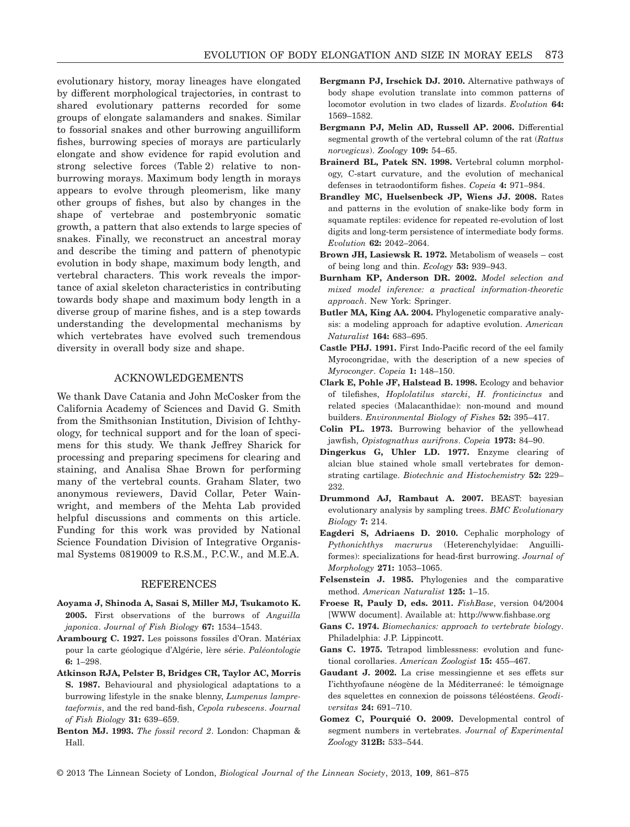evolutionary history, moray lineages have elongated by different morphological trajectories, in contrast to shared evolutionary patterns recorded for some groups of elongate salamanders and snakes. Similar to fossorial snakes and other burrowing anguilliform fishes, burrowing species of morays are particularly elongate and show evidence for rapid evolution and strong selective forces (Table 2) relative to nonburrowing morays. Maximum body length in morays appears to evolve through pleomerism, like many other groups of fishes, but also by changes in the shape of vertebrae and postembryonic somatic growth, a pattern that also extends to large species of snakes. Finally, we reconstruct an ancestral moray and describe the timing and pattern of phenotypic evolution in body shape, maximum body length, and vertebral characters. This work reveals the importance of axial skeleton characteristics in contributing towards body shape and maximum body length in a diverse group of marine fishes, and is a step towards understanding the developmental mechanisms by which vertebrates have evolved such tremendous diversity in overall body size and shape.

# ACKNOWLEDGEMENTS

We thank Dave Catania and John McCosker from the California Academy of Sciences and David G. Smith from the Smithsonian Institution, Division of Ichthyology, for technical support and for the loan of specimens for this study. We thank Jeffrey Sharick for processing and preparing specimens for clearing and staining, and Analisa Shae Brown for performing many of the vertebral counts. Graham Slater, two anonymous reviewers, David Collar, Peter Wainwright, and members of the Mehta Lab provided helpful discussions and comments on this article. Funding for this work was provided by National Science Foundation Division of Integrative Organismal Systems 0819009 to R.S.M., P.C.W., and M.E.A.

## **REFERENCES**

- **Aoyama J, Shinoda A, Sasai S, Miller MJ, Tsukamoto K. 2005.** First observations of the burrows of *Anguilla japonica*. *Journal of Fish Biology* **67:** 1534–1543.
- **Arambourg C. 1927.** Les poissons fossiles d'Oran. Matériax pour la carte géologique d'Algérie, lère série. *Paléontologie* **6:** 1–298.
- **Atkinson RJA, Pelster B, Bridges CR, Taylor AC, Morris S. 1987.** Behavioural and physiological adaptations to a burrowing lifestyle in the snake blenny, *Lumpenus lampretaeformis*, and the red band-fish, *Cepola rubescens*. *Journal of Fish Biology* **31:** 639–659.
- **Benton MJ. 1993.** *The fossil record 2*. London: Chapman & Hall.
- **Bergmann PJ, Irschick DJ. 2010.** Alternative pathways of body shape evolution translate into common patterns of locomotor evolution in two clades of lizards. *Evolution* **64:** 1569–1582.
- **Bergmann PJ, Melin AD, Russell AP. 2006.** Differential segmental growth of the vertebral column of the rat (*Rattus norvegicus*). *Zoology* **109:** 54–65.
- **Brainerd BL, Patek SN. 1998.** Vertebral column morphology, C-start curvature, and the evolution of mechanical defenses in tetraodontiform fishes. *Copeia* **4:** 971–984.
- **Brandley MC, Huelsenbeck JP, Wiens JJ. 2008.** Rates and patterns in the evolution of snake-like body form in squamate reptiles: evidence for repeated re-evolution of lost digits and long-term persistence of intermediate body forms. *Evolution* **62:** 2042–2064.
- **Brown JH, Lasiewsk R. 1972.** Metabolism of weasels cost of being long and thin. *Ecology* **53:** 939–943.
- **Burnham KP, Anderson DR. 2002.** *Model selection and mixed model inference: a practical information-theoretic approach*. New York: Springer.
- **Butler MA, King AA. 2004.** Phylogenetic comparative analysis: a modeling approach for adaptive evolution. *American Naturalist* **164:** 683–695.
- **Castle PHJ. 1991.** First Indo-Pacific record of the eel family Myrocongridae, with the description of a new species of *Myroconger*. *Copeia* **1:** 148–150.
- **Clark E, Pohle JF, Halstead B. 1998.** Ecology and behavior of tilefishes, *Hoplolatilus starcki*, *H. fronticinctus* and related species (Malacanthidae): non-mound and mound builders. *Environmental Biology of Fishes* **52:** 395–417.
- **Colin PL. 1973.** Burrowing behavior of the yellowhead jawfish, *Opistognathus aurifrons*. *Copeia* **1973:** 84–90.
- **Dingerkus G, Uhler LD. 1977.** Enzyme clearing of alcian blue stained whole small vertebrates for demonstrating cartilage. *Biotechnic and Histochemistry* **52:** 229– 232.
- **Drummond AJ, Rambaut A. 2007.** BEAST: bayesian evolutionary analysis by sampling trees. *BMC Evolutionary Biology* **7:** 214.
- **Eagderi S, Adriaens D. 2010.** Cephalic morphology of *Pythonichthys macrurus* (Heterenchylyidae: Anguilliformes): specializations for head-first burrowing. *Journal of Morphology* **271:** 1053–1065.
- **Felsenstein J. 1985.** Phylogenies and the comparative method. *American Naturalist* **125:** 1–15.
- **Froese R, Pauly D, eds. 2011.** *FishBase*, version 04/2004 [WWW document]. Available at: http://www.fishbase.org
- **Gans C. 1974.** *Biomechanics: approach to vertebrate biology*. Philadelphia: J.P. Lippincott.
- **Gans C. 1975.** Tetrapod limblessness: evolution and functional corollaries. *American Zoologist* **15:** 455–467.
- **Gaudant J. 2002.** La crise messingienne et ses effets sur I'ichthyofaune néogène de la Méditerraneé: le témoignage des squelettes en connexion de poissons téléostéens. *Geodiversitas* **24:** 691–710.
- **Gomez C, Pourquié O. 2009.** Developmental control of segment numbers in vertebrates. *Journal of Experimental Zoology* **312B:** 533–544.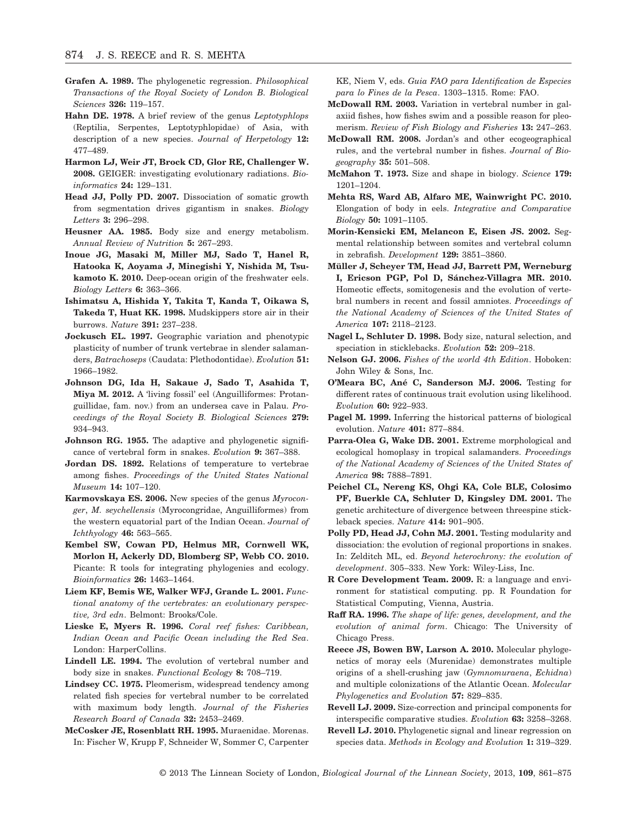- **Grafen A. 1989.** The phylogenetic regression. *Philosophical Transactions of the Royal Society of London B. Biological Sciences* **326:** 119–157.
- **Hahn DE. 1978.** A brief review of the genus *Leptotyphlops* (Reptilia, Serpentes, Leptotyphlopidae) of Asia, with description of a new species. *Journal of Herpetology* **12:** 477–489.
- **Harmon LJ, Weir JT, Brock CD, Glor RE, Challenger W. 2008.** GEIGER: investigating evolutionary radiations. *Bioinformatics* **24:** 129–131.
- **Head JJ, Polly PD. 2007.** Dissociation of somatic growth from segmentation drives gigantism in snakes. *Biology Letters* **3:** 296–298.
- **Heusner AA. 1985.** Body size and energy metabolism. *Annual Review of Nutrition* **5:** 267–293.
- **Inoue JG, Masaki M, Miller MJ, Sado T, Hanel R, Hatooka K, Aoyama J, Minegishi Y, Nishida M, Tsukamoto K. 2010.** Deep-ocean origin of the freshwater eels. *Biology Letters* **6:** 363–366.
- **Ishimatsu A, Hishida Y, Takita T, Kanda T, Oikawa S, Takeda T, Huat KK. 1998.** Mudskippers store air in their burrows. *Nature* **391:** 237–238.
- **Jockusch EL. 1997.** Geographic variation and phenotypic plasticity of number of trunk vertebrae in slender salamanders, *Batrachoseps* (Caudata: Plethodontidae). *Evolution* **51:** 1966–1982.
- **Johnson DG, Ida H, Sakaue J, Sado T, Asahida T, Miya M. 2012.** A 'living fossil' eel (Anguilliformes: Protanguillidae, fam. nov.) from an undersea cave in Palau. *Proceedings of the Royal Society B. Biological Sciences* **279:** 934–943.
- **Johnson RG. 1955.** The adaptive and phylogenetic significance of vertebral form in snakes. *Evolution* **9:** 367–388.
- **Jordan DS. 1892.** Relations of temperature to vertebrae among fishes. *Proceedings of the United States National Museum* **14:** 107–120.
- **Karmovskaya ES. 2006.** New species of the genus *Myroconger*, *M. seychellensis* (Myrocongridae, Anguilliformes) from the western equatorial part of the Indian Ocean. *Journal of Ichthyology* **46:** 563–565.
- **Kembel SW, Cowan PD, Helmus MR, Cornwell WK, Morlon H, Ackerly DD, Blomberg SP, Webb CO. 2010.** Picante: R tools for integrating phylogenies and ecology. *Bioinformatics* **26:** 1463–1464.
- **Liem KF, Bemis WE, Walker WFJ, Grande L. 2001.** *Functional anatomy of the vertebrates: an evolutionary perspective, 3rd edn*. Belmont: Brooks/Cole.
- **Lieske E, Myers R. 1996.** *Coral reef fishes: Caribbean, Indian Ocean and Pacific Ocean including the Red Sea*. London: HarperCollins.
- **Lindell LE. 1994.** The evolution of vertebral number and body size in snakes. *Functional Ecology* **8:** 708–719.
- **Lindsey CC. 1975.** Pleomerism, widespread tendency among related fish species for vertebral number to be correlated with maximum body length. *Journal of the Fisheries Research Board of Canada* **32:** 2453–2469.
- **McCosker JE, Rosenblatt RH. 1995.** Muraenidae. Morenas. In: Fischer W, Krupp F, Schneider W, Sommer C, Carpenter

KE, Niem V, eds. *Guia FAO para Identification de Especies para lo Fines de la Pesca*. 1303–1315. Rome: FAO.

- **McDowall RM. 2003.** Variation in vertebral number in galaxiid fishes, how fishes swim and a possible reason for pleomerism. *Review of Fish Biology and Fisheries* **13:** 247–263.
- **McDowall RM. 2008.** Jordan's and other ecogeographical rules, and the vertebral number in fishes. *Journal of Biogeography* **35:** 501–508.
- **McMahon T. 1973.** Size and shape in biology. *Science* **179:** 1201–1204.
- **Mehta RS, Ward AB, Alfaro ME, Wainwright PC. 2010.** Elongation of body in eels. *Integrative and Comparative Biology* **50:** 1091–1105.
- **Morin-Kensicki EM, Melancon E, Eisen JS. 2002.** Segmental relationship between somites and vertebral column in zebrafish. *Development* **129:** 3851–3860.
- **Müller J, Scheyer TM, Head JJ, Barrett PM, Werneburg I, Ericson PGP, Pol D, Sánchez-Villagra MR. 2010.** Homeotic effects, somitogenesis and the evolution of vertebral numbers in recent and fossil amniotes. *Proceedings of the National Academy of Sciences of the United States of America* **107:** 2118–2123.
- **Nagel L, Schluter D. 1998.** Body size, natural selection, and speciation in sticklebacks. *Evolution* **52:** 209–218.
- **Nelson GJ. 2006.** *Fishes of the world 4th Edition*. Hoboken: John Wiley & Sons, Inc.
- **O'Meara BC, Ané C, Sanderson MJ. 2006.** Testing for different rates of continuous trait evolution using likelihood. *Evolution* **60:** 922–933.
- **Pagel M. 1999.** Inferring the historical patterns of biological evolution. *Nature* **401:** 877–884.
- **Parra-Olea G, Wake DB. 2001.** Extreme morphological and ecological homoplasy in tropical salamanders. *Proceedings of the National Academy of Sciences of the United States of America* **98:** 7888–7891.
- **Peichel CL, Nereng KS, Ohgi KA, Cole BLE, Colosimo PF, Buerkle CA, Schluter D, Kingsley DM. 2001.** The genetic architecture of divergence between threespine stickleback species. *Nature* **414:** 901–905.
- **Polly PD, Head JJ, Cohn MJ. 2001.** Testing modularity and dissociation: the evolution of regional proportions in snakes. In: Zelditch ML, ed. *Beyond heterochrony: the evolution of development*. 305–333. New York: Wiley-Liss, Inc.
- **R Core Development Team. 2009.** R: a language and environment for statistical computing. pp. R Foundation for Statistical Computing, Vienna, Austria.
- **Raff RA. 1996.** *The shape of life: genes, development, and the evolution of animal form*. Chicago: The University of Chicago Press.
- **Reece JS, Bowen BW, Larson A. 2010.** Molecular phylogenetics of moray eels (Murenidae) demonstrates multiple origins of a shell-crushing jaw (*Gymnomuraena*, *Echidna*) and multiple colonizations of the Atlantic Ocean. *Molecular Phylogenetics and Evolution* **57:** 829–835.
- **Revell LJ. 2009.** Size-correction and principal components for interspecific comparative studies. *Evolution* **63:** 3258–3268.
- **Revell LJ. 2010.** Phylogenetic signal and linear regression on species data. *Methods in Ecology and Evolution* **1:** 319–329.